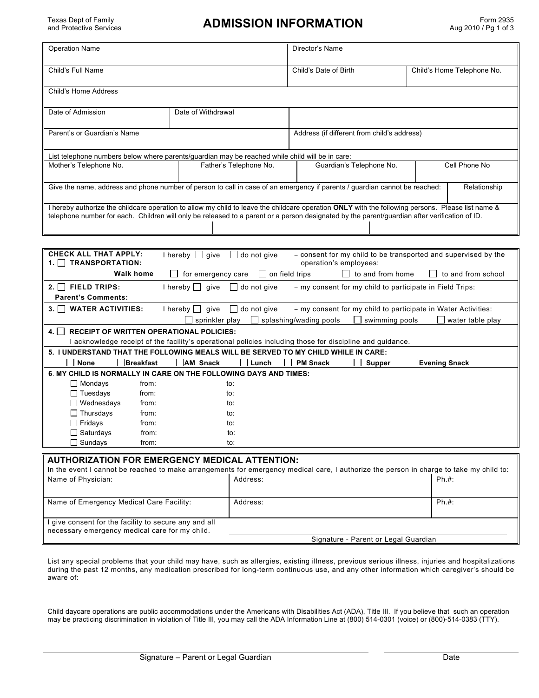Texas Dept of Family

### ADMISSION INFORMATION Form 2935

| <b>Operation Name</b>                                                                                                                                                                                                                                                                            | Director's Name        |                                             |                            |  |  |  |  |  |
|--------------------------------------------------------------------------------------------------------------------------------------------------------------------------------------------------------------------------------------------------------------------------------------------------|------------------------|---------------------------------------------|----------------------------|--|--|--|--|--|
| Child's Full Name                                                                                                                                                                                                                                                                                |                        | Child's Date of Birth                       | Child's Home Telephone No. |  |  |  |  |  |
| Child's Home Address                                                                                                                                                                                                                                                                             |                        |                                             |                            |  |  |  |  |  |
| Date of Admission                                                                                                                                                                                                                                                                                | Date of Withdrawal     |                                             |                            |  |  |  |  |  |
| Parent's or Guardian's Name                                                                                                                                                                                                                                                                      |                        | Address (if different from child's address) |                            |  |  |  |  |  |
| List telephone numbers below where parents/guardian may be reached while child will be in care:                                                                                                                                                                                                  |                        |                                             |                            |  |  |  |  |  |
| Mother's Telephone No.                                                                                                                                                                                                                                                                           | Father's Telephone No. | Guardian's Telephone No.                    | Cell Phone No              |  |  |  |  |  |
| Give the name, address and phone number of person to call in case of an emergency if parents / guardian cannot be reached:<br>Relationship                                                                                                                                                       |                        |                                             |                            |  |  |  |  |  |
| hereby authorize the childcare operation to allow my child to leave the childcare operation ONLY with the following persons. Please list name &<br>telephone number for each. Children will only be released to a parent or a person designated by the parent/guardian after verification of ID. |                        |                                             |                            |  |  |  |  |  |
|                                                                                                                                                                                                                                                                                                  |                        |                                             |                            |  |  |  |  |  |
| <b>CHECK ALL THAT APPLY:</b><br>- consent for my child to be transported and supervised by the<br>I hereby $\Box$<br>give<br>do not give<br>$\mathbf{L}$<br><b>TOAMODODTATION</b>                                                                                                                |                        |                                             |                            |  |  |  |  |  |

| <b>TRANSPORTATION:</b><br>1.11                                                                                                                                  | $\Box$ indiction $\Box$ dive $\Box$ do not dive<br>$\sim$ consent for thy child to be transported and supervised by the<br>operation's employees: |  |  |  |  |  |  |  |
|-----------------------------------------------------------------------------------------------------------------------------------------------------------------|---------------------------------------------------------------------------------------------------------------------------------------------------|--|--|--|--|--|--|--|
| <b>Walk home</b>                                                                                                                                                | $\Box$ on field trips<br>to and from school<br>for emergency care<br>to and from home<br>$\mathbf{1}$                                             |  |  |  |  |  |  |  |
| $2.$     FIELD TRIPS:<br>$I$ hereby $\Box$ give<br>- my consent for my child to participate in Field Trips:<br>$\Box$ do not give                               |                                                                                                                                                   |  |  |  |  |  |  |  |
| <b>Parent's Comments:</b>                                                                                                                                       |                                                                                                                                                   |  |  |  |  |  |  |  |
| <b>WATER ACTIVITIES:</b><br>qive<br>do not give<br>- my consent for my child to participate in Water Activities:<br>3.1 <sub>1</sub><br>I hereby    <br>$\perp$ |                                                                                                                                                   |  |  |  |  |  |  |  |
| sprinkler play<br>splashing/wading pools<br>swimming pools<br>water table play                                                                                  |                                                                                                                                                   |  |  |  |  |  |  |  |
| 4.1 <sub>1</sub><br><b>RECEIPT OF WRITTEN OPERATIONAL POLICIES:</b>                                                                                             |                                                                                                                                                   |  |  |  |  |  |  |  |
| acknowledge receipt of the facility's operational policies including those for discipline and guidance.                                                         |                                                                                                                                                   |  |  |  |  |  |  |  |
|                                                                                                                                                                 | 5. I UNDERSTAND THAT THE FOLLOWING MEALS WILL BE SERVED TO MY CHILD WHILE IN CARE:                                                                |  |  |  |  |  |  |  |
| <b>None</b><br><b>Breakfast</b>                                                                                                                                 | AM Snack<br><b>PM Snack</b><br>Evening Snack<br><b>Supper</b><br>ΙI<br>Lunch                                                                      |  |  |  |  |  |  |  |
|                                                                                                                                                                 | 6. MY CHILD IS NORMALLY IN CARE ON THE FOLLOWING DAYS AND TIMES:                                                                                  |  |  |  |  |  |  |  |
| $\Box$ Mondays<br>from:                                                                                                                                         | to:                                                                                                                                               |  |  |  |  |  |  |  |
| $\Box$ Tuesdays<br>from:                                                                                                                                        | to:                                                                                                                                               |  |  |  |  |  |  |  |
| $\Box$ Wednesdays<br>from:                                                                                                                                      | to:                                                                                                                                               |  |  |  |  |  |  |  |
| $\Box$ Thursdays<br>from:                                                                                                                                       | to:                                                                                                                                               |  |  |  |  |  |  |  |
| $\Box$ Fridays<br>from:                                                                                                                                         | to:                                                                                                                                               |  |  |  |  |  |  |  |
| $\Box$ Saturdays<br>from:                                                                                                                                       | to:                                                                                                                                               |  |  |  |  |  |  |  |
| $\Box$ Sundays<br>from:                                                                                                                                         | to:                                                                                                                                               |  |  |  |  |  |  |  |

## **AUTHORIZATION FOR EMERGENCY MEDICAL ATTENTION:**

|                                                       | In the event I cannot be reached to make arrangements for emergency medical care, I authorize the person in charge to take my child to: |     |  |  |  |
|-------------------------------------------------------|-----------------------------------------------------------------------------------------------------------------------------------------|-----|--|--|--|
| Name of Physician:                                    | Address:                                                                                                                                | Ph# |  |  |  |
|                                                       |                                                                                                                                         |     |  |  |  |
|                                                       |                                                                                                                                         |     |  |  |  |
| Name of Emergency Medical Care Facility:              | Address:                                                                                                                                | Ph# |  |  |  |
|                                                       |                                                                                                                                         |     |  |  |  |
| I give consent for the facility to secure any and all |                                                                                                                                         |     |  |  |  |
| necessary emergency medical care for my child.        |                                                                                                                                         |     |  |  |  |
|                                                       | Signature - Parent or Legal Guardian                                                                                                    |     |  |  |  |

List any special problems that your child may have, such as allergies, existing illness, previous serious illness, injuries and hospitalizations during the past 12 months, any medication prescribed for long-term continuous use, and any other information which caregiver's should be aware of:

Child daycare operations are public accommodations under the Americans with Disabilities Act (ADA), Title III. If you believe that such an operation may be practicing discrimination in violation of Title III, you may call the ADA Information Line at (800) 514-0301 (voice) or (800)-514-0383 (TTY).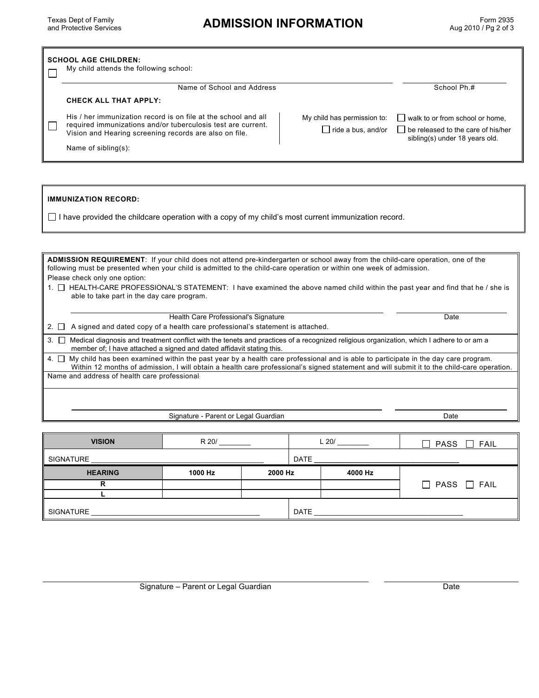# **ADMISSION INFORMATION**

|      | <b>SCHOOL AGE CHILDREN:</b><br>My child attends the following school: |                                                                                                                                                                                                                                                                                             |                                                          |                                      |                                                                                                                |  |  |
|------|-----------------------------------------------------------------------|---------------------------------------------------------------------------------------------------------------------------------------------------------------------------------------------------------------------------------------------------------------------------------------------|----------------------------------------------------------|--------------------------------------|----------------------------------------------------------------------------------------------------------------|--|--|
|      |                                                                       | Name of School and Address                                                                                                                                                                                                                                                                  | School Ph.#                                              |                                      |                                                                                                                |  |  |
|      | <b>CHECK ALL THAT APPLY:</b>                                          |                                                                                                                                                                                                                                                                                             |                                                          |                                      |                                                                                                                |  |  |
|      | Vision and Hearing screening records are also on file.                | His / her immunization record is on file at the school and all<br>required immunizations and/or tuberculosis test are current.                                                                                                                                                              | My child has permission to:<br>$\Box$ ride a bus, and/or |                                      | $\Box$ walk to or from school or home,<br>be released to the care of his/her<br>sibling(s) under 18 years old. |  |  |
|      | Name of $sibling(s)$ :                                                |                                                                                                                                                                                                                                                                                             |                                                          |                                      |                                                                                                                |  |  |
|      |                                                                       |                                                                                                                                                                                                                                                                                             |                                                          |                                      |                                                                                                                |  |  |
|      |                                                                       |                                                                                                                                                                                                                                                                                             |                                                          |                                      |                                                                                                                |  |  |
|      | <b>IMMUNIZATION RECORD:</b>                                           |                                                                                                                                                                                                                                                                                             |                                                          |                                      |                                                                                                                |  |  |
|      |                                                                       | $\Box$ I have provided the childcare operation with a copy of my child's most current immunization record.                                                                                                                                                                                  |                                                          |                                      |                                                                                                                |  |  |
|      |                                                                       |                                                                                                                                                                                                                                                                                             |                                                          |                                      |                                                                                                                |  |  |
|      |                                                                       |                                                                                                                                                                                                                                                                                             |                                                          |                                      |                                                                                                                |  |  |
|      |                                                                       | ADMISSION REQUIREMENT: If your child does not attend pre-kindergarten or school away from the child-care operation, one of the                                                                                                                                                              |                                                          |                                      |                                                                                                                |  |  |
|      |                                                                       | following must be presented when your child is admitted to the child-care operation or within one week of admission.                                                                                                                                                                        |                                                          |                                      |                                                                                                                |  |  |
|      | Please check only one option:                                         | 1. □ HEALTH-CARE PROFESSIONAL'S STATEMENT: I have examined the above named child within the past year and find that he / she is                                                                                                                                                             |                                                          |                                      |                                                                                                                |  |  |
|      | able to take part in the day care program.                            |                                                                                                                                                                                                                                                                                             |                                                          |                                      |                                                                                                                |  |  |
|      |                                                                       |                                                                                                                                                                                                                                                                                             |                                                          |                                      |                                                                                                                |  |  |
| 2. ⊔ |                                                                       | Health Care Professional's Signature<br>A signed and dated copy of a health care professional's statement is attached.                                                                                                                                                                      |                                                          |                                      | Date                                                                                                           |  |  |
|      |                                                                       | 3. □ Medical diagnosis and treatment conflict with the tenets and practices of a recognized religious organization, which I adhere to or am a                                                                                                                                               |                                                          |                                      |                                                                                                                |  |  |
|      |                                                                       | member of; I have attached a signed and dated affidavit stating this.                                                                                                                                                                                                                       |                                                          |                                      |                                                                                                                |  |  |
|      |                                                                       | $4.$ $\Box$ My child has been examined within the past year by a health care professional and is able to participate in the day care program.<br>Within 12 months of admission, I will obtain a health care professional's signed statement and will submit it to the child-care operation. |                                                          |                                      |                                                                                                                |  |  |
|      | Name and address of health care professional:                         |                                                                                                                                                                                                                                                                                             |                                                          |                                      |                                                                                                                |  |  |
|      |                                                                       |                                                                                                                                                                                                                                                                                             |                                                          |                                      |                                                                                                                |  |  |
|      |                                                                       |                                                                                                                                                                                                                                                                                             |                                                          |                                      |                                                                                                                |  |  |
|      |                                                                       |                                                                                                                                                                                                                                                                                             |                                                          |                                      |                                                                                                                |  |  |
|      |                                                                       | Signature - Parent or Legal Guardian                                                                                                                                                                                                                                                        |                                                          |                                      | Date                                                                                                           |  |  |
|      |                                                                       |                                                                                                                                                                                                                                                                                             |                                                          |                                      |                                                                                                                |  |  |
|      | <b>VISION</b>                                                         | R 20/                                                                                                                                                                                                                                                                                       |                                                          | $L$ 20/ $\_\_\_\_\_\_\_\_\_\_\_\_\_$ | PASS □ FAIL                                                                                                    |  |  |
|      | SIGNATURE                                                             |                                                                                                                                                                                                                                                                                             | DATE                                                     |                                      |                                                                                                                |  |  |
|      | <b>HEARING</b>                                                        | 1000 Hz<br>2000 Hz                                                                                                                                                                                                                                                                          |                                                          | 4000 Hz                              |                                                                                                                |  |  |
|      | R                                                                     |                                                                                                                                                                                                                                                                                             |                                                          |                                      | $\Box$ PASS $\Box$ FAIL                                                                                        |  |  |
|      | L                                                                     |                                                                                                                                                                                                                                                                                             |                                                          |                                      |                                                                                                                |  |  |